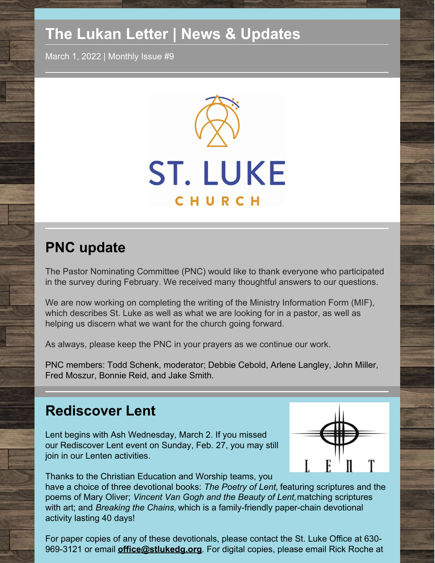# **The Lukan Letter | News & Updates**

March 1, 2022 | Monthly Issue #9



## **PNC update**

The Pastor Nominating Committee (PNC) would like to thank everyone who participated in the survey during February. We received many thoughtful answers to our questions.

We are now working on completing the writing of the Ministry Information Form (MIF), which describes St. Luke as well as what we are looking for in a pastor, as well as helping us discern what we want for the church going forward.

As always, please keep the PNC in your prayers as we continue our work.

PNC members: Todd Schenk, moderator; Debbie Cebold, Arlene Langley, John Miller, Fred Moszur, Bonnie Reid, and Jake Smith.

## **Rediscover Lent**

Lent begins with Ash Wednesday, March 2. If you missed our Rediscover Lent event on Sunday, Feb. 27, you may still join in our Lenten activities.



Thanks to the Christian Education and Worship teams, you

have a choice of three devotional books: *The Poetry of Lent,* featuring scriptures and the poems of Mary Oliver; *Vincent Van Gogh and the Beauty of Lent,*matching scriptures with art; and *Breaking the Chains,* which is a family-friendly paper-chain devotional activity lasting 40 days!

For paper copies of any of these devotionals, please contact the St. Luke Office at 630- 969-3121 or email **[office@stlukedg.org](mailto:office@stlukedg.org)**. For digital copies, please email Rick Roche at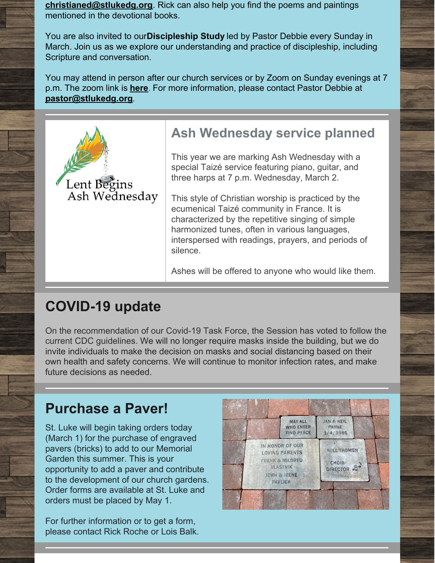**[christianed@stlukedg.org](mailto:christianed@stlukedg.org)**. Rick can also help you find the poems and paintings mentioned in the devotional books.

You are also invited to our**Discipleship Study** led by Pastor Debbie every Sunday in March. Join us as we explore our understanding and practice of discipleship, including Scripture and conversation.

You may attend in person after our church services or by Zoom on Sunday evenings at 7 p.m. The zoom link is **[here](https://us02web.zoom.us/j/85323176433?pwd=K1pPQ1F6SDJyQVhvMWJwWnEzb2NDUT09)**. For more information, please contact Pastor Debbie at **[pastor@stlukedg.org](mailto:pastor@stlukedg.org)**.



### **Ash Wednesday service planned**

This year we are marking Ash Wednesday with a special Taizé service featuring piano, guitar, and three harps at 7 p.m. Wednesday, March 2.

This style of Christian worship is practiced by the ecumenical Taizé community in France. It is characterized by the repetitive singing of simple harmonized tunes, often in various languages, interspersed with readings, prayers, and periods of silence.

Ashes will be offered to anyone who would like them.

## **COVID-19 update**

On the recommendation of our Covid-19 Task Force, the Session has voted to follow the current CDC guidelines. We will no longer require masks inside the building, but we do invite individuals to make the decision on masks and social distancing based on their own health and safety concerns. We will continue to monitor infection rates, and make future decisions as needed.

## **Purchase a Paver!**

St. Luke will begin taking orders today (March 1) for the purchase of engraved pavers (bricks) to add to our Memorial Garden this summer. This is your opportunity to add a paver and contribute to the development of our church gardens. Order forms are available at St. Luke and orders must be placed by May 1.

For further information or to get a form, please contact Rick Roche or Lois Balk.

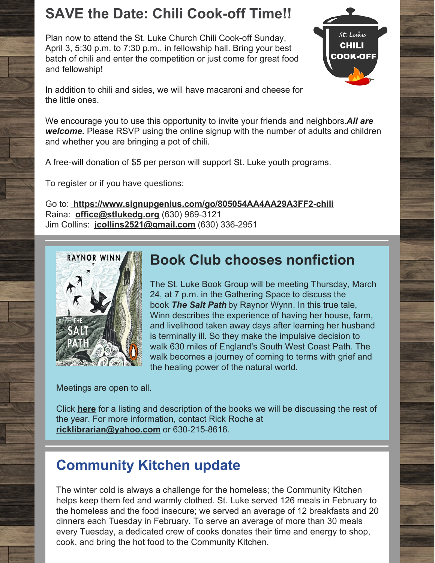## **SAVE the Date: Chili Cook-off Time!!**

Plan now to attend the St. Luke Church Chili Cook-off Sunday, April 3, 5:30 p.m. to 7:30 p.m., in fellowship hall. Bring your best batch of chili and enter the competition or just come for great food and fellowship!



In addition to chili and sides, we will have macaroni and cheese for the little ones.

We encourage you to use this opportunity to invite your friends and neighbors.*All are welcome.* Please RSVP using the online signup with the number of adults and children and whether you are bringing a pot of chili.

A free-will donation of \$5 per person will support St. Luke youth programs.

To register or if you have questions:

Go to: **<https://www.signupgenius.com/go/805054AA4AA29A3FF2-chili>** Raina: **[office@stlukedg.org](http://office@stlukedg.org)** (630) 969-3121 Jim Collins: **[jcollins2521@gmail.com](http://jcollins2521@gmail.com)** (630) 336-2951



## **Book Club chooses nonfiction**

The St. Luke Book Group will be meeting Thursday, March 24, at 7 p.m. in the Gathering Space to discuss the book *The Salt Path* by Raynor Wynn. In this true tale, Winn describes the experience of having her house, farm, and livelihood taken away days after learning her husband is terminally ill. So they make the impulsive decision to walk 630 miles of England's South West Coast Path. The walk becomes a journey of coming to terms with grief and the healing power of the natural world.

Meetings are open to all.

Click **[here](https://files.constantcontact.com/af238e8a601/8e2eb7c3-fdf1-4a6c-8a48-83ee32092d28.pdf)** for a listing and description of the books we will be discussing the rest of the year. For more information, contact Rick Roche at **[ricklibrarian@yahoo.com](mailto:ricklibrarian@yahoo.com)** or 630-215-8616.

# **Community Kitchen update**

The winter cold is always a challenge for the homeless; the Community Kitchen helps keep them fed and warmly clothed. St. Luke served 126 meals in February to the homeless and the food insecure; we served an average of 12 breakfasts and 20 dinners each Tuesday in February. To serve an average of more than 30 meals every Tuesday, a dedicated crew of cooks donates their time and energy to shop, cook, and bring the hot food to the Community Kitchen.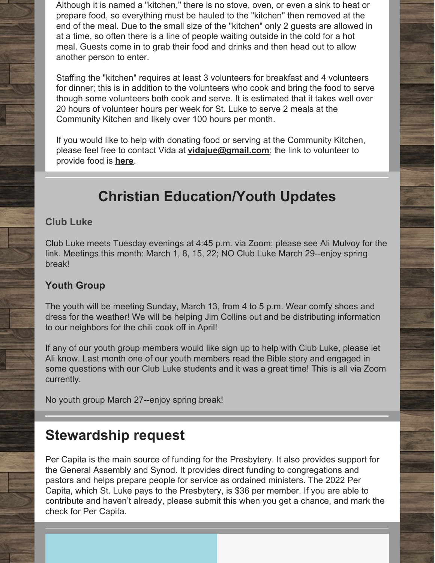Although it is named a "kitchen," there is no stove, oven, or even a sink to heat or prepare food, so everything must be hauled to the "kitchen" then removed at the end of the meal. Due to the small size of the "kitchen" only 2 guests are allowed in at a time, so often there is a line of people waiting outside in the cold for a hot meal. Guests come in to grab their food and drinks and then head out to allow another person to enter.

Staffing the "kitchen" requires at least 3 volunteers for breakfast and 4 volunteers for dinner; this is in addition to the volunteers who cook and bring the food to serve though some volunteers both cook and serve. It is estimated that it takes well over 20 hours of volunteer hours per week for St. Luke to serve 2 meals at the Community Kitchen and likely over 100 hours per month.

If you would like to help with donating food or serving at the Community Kitchen, please feel free to contact Vida at **[vidajue@gmail.com](mailto:vidajue@gmail.com)**; the link to volunteer to provide food is **[here](https://www.signupgenius.com/go/8050a4ca8a62eaafb6-breakfast)**.

# **Christian Education/Youth Updates**

### **Club Luke**

Club Luke meets Tuesday evenings at 4:45 p.m. via Zoom; please see Ali Mulvoy for the link. Meetings this month: March 1, 8, 15, 22; NO Club Luke March 29--enjoy spring break!

### **Youth Group**

The youth will be meeting Sunday, March 13, from 4 to 5 p.m. Wear comfy shoes and dress for the weather! We will be helping Jim Collins out and be distributing information to our neighbors for the chili cook off in April!

If any of our youth group members would like sign up to help with Club Luke, please let Ali know. Last month one of our youth members read the Bible story and engaged in some questions with our Club Luke students and it was a great time! This is all via Zoom currently.

No youth group March 27--enjoy spring break!

## **Stewardship request**

Per Capita is the main source of funding for the Presbytery. It also provides support for the General Assembly and Synod. It provides direct funding to congregations and pastors and helps prepare people for service as ordained ministers. The 2022 Per Capita, which St. Luke pays to the Presbytery, is \$36 per member. If you are able to contribute and haven't already, please submit this when you get a chance, and mark the check for Per Capita.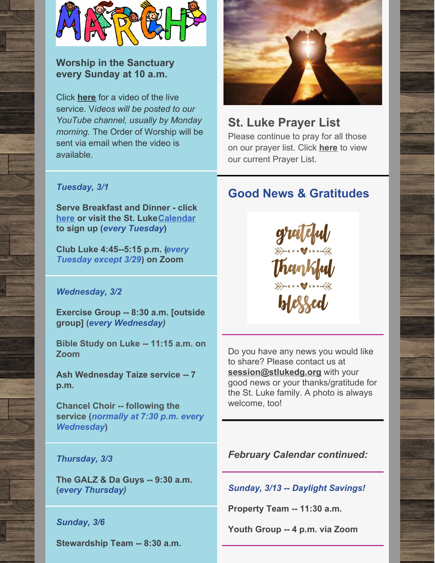

### **Worship in the Sanctuary every Sunday at 10 a.m.**

Click **[here](https://www.youtube.com/watch?v=sd1XzhAl-_A)** for a video of the live service. V*ideos will be posted to our YouTube channel, usually by Monday morning.* The Order of Worship will be sent via email when the video is available.



### **St. Luke Prayer List**

Please continue to pray for all those on our prayer list. Click **[here](https://docs.google.com/document/d/1xEAa64yLNOkP8ZWdwJZ9OJiypUaLpFwgL5BUXclkz6A/edit?usp=sharing)** to view our current Prayer List.

**Good News & Gratitudes**

### *Tuesday, 3/1*

**Serve Breakfast and Dinner - click [here](https://www.signupgenius.com/go/8050a4ca8a62eaafb6-breakfast) or visit the St. Luke[Calendar](https://www.stlukedg.org/events) to sign up (***every Tuesday***)**

**Club Luke 4:45--5:15 p.m. (***every Tuesday except 3/29***) on Zoom**

### *Wednesday, 3/2*

**Exercise Group -- 8:30 a.m. [outside group] (***every Wednesday)*

**Bible Study on Luke -- 11:15 a.m. on Zoom**

**Ash Wednesday Taize service -- 7 p.m.**

**Chancel Choir -- following the service (***normally at 7:30 p.m. every Wednesday***)**

# Do you have any news you would like to share? Please contact us at

**[session@stlukedg.org](mailto:session@stlukedg.org)** with your good news or your thanks/gratitude for the St. Luke family. A photo is always welcome, too!

### *Thursday, 3/3*

**The GALZ & Da Guys -- 9:30 a.m. (***every Thursday)*

### *Sunday, 3/6*

**Stewardship Team -- 8:30 a.m.**

*February Calendar continued:*

*Sunday, 3/13 -- Daylight Savings!*

**Property Team -- 11:30 a.m.**

**Youth Group -- 4 p.m. via Zoom**